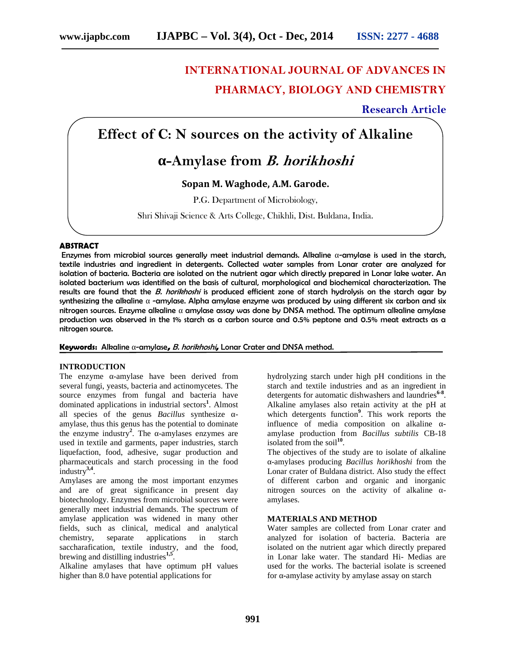# **INTERNATIONAL JOURNAL OF ADVANCES IN PHARMACY, BIOLOGY AND CHEMISTRY**

# **Research Article**

# **Effect of C: N sources on the activity of Alkaline**

# **-Amylase from** *B. horikhoshi*

## **Sopan M. Waghode, A.M. Garode.**

P.G. Department of Microbiology,

Shri Shivaji Science & Arts College, Chikhli, Dist. Buldana, India.

## **ABSTRACT**

Enzymes from microbial sources generally meet industrial demands. Alkaline -amylase is used in the starch, textile industries and ingredient in detergents. Collected water samples from Lonar crater are analyzed for isolation of bacteria. Bacteria are isolated on the nutrient agar which directly prepared in Lonar lake water. An isolated bacterium was identified on the basis of cultural, morphological and biochemical characterization. The results are found that the *B. horikhoshi* is produced efficient zone of starch hydrolysis on the starch agar by synthesizing the alkaline -amylase. Alpha amylase enzyme was produced by using different six carbon and six nitrogen sources. Enzyme alkaline amylase assay was done by DNSA method. The optimum alkaline amylase production was observed in the 1% starch as a carbon source and 0.5% peptone and 0.5% meat extracts as a nitrogen source.

### **Keywords:** Alkaline -amylase**,** *B. horikhoshi***,** Lonar Crater and DNSA method.

### **INTRODUCTION**

The enzyme -amylase have been derived from several fungi, yeasts, bacteria and actinomycetes. The source enzymes from fungal and bacteria have dominated applications in industrial sectors**<sup>1</sup>** . Almost all species of the genus *Bacillus* synthesize amylase, thus this genus has the potential to dominate the enzyme industry<sup>2</sup>. The  $-\frac{1}{2}$  -amylases enzymes are used in textile and garments, paper industries, starch liquefaction, food, adhesive, sugar production and pharmaceuticals and starch processing in the food industry**3,4** .

Amylases are among the most important enzymes and are of great significance in present day biotechnology. Enzymes from microbial sources were generally meet industrial demands. The spectrum of amylase application was widened in many other fields, such as clinical, medical and analytical chemistry, separate applications in saccharafication, textile industry, and the food, brewing and distilling industries**1,5** .

Alkaline amylases that have optimum pH values higher than 8.0 have potential applications for

hydrolyzing starch under high pH conditions in the starch and textile industries and as an ingredient in detergents for automatic dishwashers and laundries**6-8** . Alkaline amylases also retain activity at the pH at which detergents function**<sup>9</sup>** . This work reports the influence of media composition on alkaline amylase production from *Bacillus subtilis* CB-18 isolated from the soil**<sup>10</sup>** .

The objectives of the study are to isolate of alkaline -amylases producing *Bacillus horikhoshi* from the Lonar crater of Buldana district. Also study the effect of different carbon and organic and inorganic nitrogen sources on the activity of alkaline amylases.

### **MATERIALS AND METHOD**

Water samples are collected from Lonar crater and analyzed for isolation of bacteria. Bacteria are isolated on the nutrient agar which directly prepared in Lonar lake water. The standard Hi- Medias are used for the works. The bacterial isolate is screened for **-**amylase activity by amylase assay on starch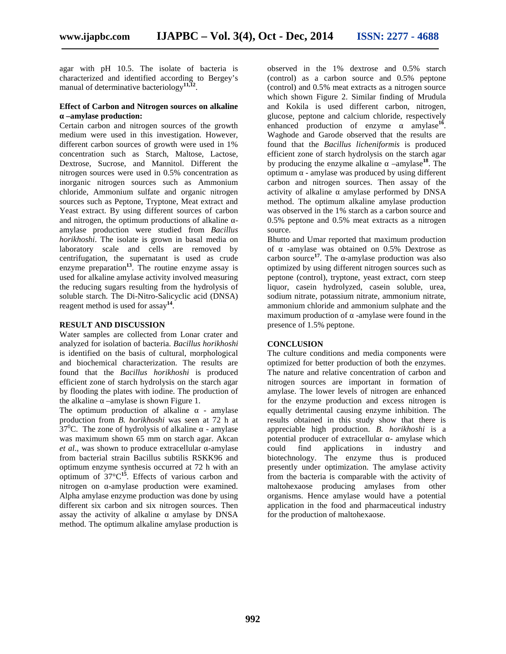agar with pH 10.5. The isolate of bacteria is characterized and identified according to Bergey's manual of determinative bacteriology**11,12** .

#### **Effect of Carbon and Nitrogen sources on alkaline –amylase production:**

Certain carbon and nitrogen sources of the growth medium were used in this investigation. However, different carbon sources of growth were used in 1% concentration such as Starch, Maltose, Lactose, Dextrose, Sucrose, and Mannitol. Different the nitrogen sources were used in 0.5% concentration as inorganic nitrogen sources such as Ammonium chloride, Ammonium sulfate and organic nitrogen sources such as Peptone, Tryptone, Meat extract and Yeast extract. By using different sources of carbon and nitrogen, the optimum productions of alkaline amylase production were studied from *Bacillus horikhoshi*. The isolate is grown in basal media on laboratory scale and cells are removed by centrifugation, the supernatant is used as crude enzyme preparation**<sup>13</sup>** . The routine enzyme assay is used for alkaline amylase activity involved measuring the reducing sugars resulting from the hydrolysis of soluble starch. The Di-Nitro-Salicyclic acid (DNSA) reagent method is used for assay**<sup>14</sup>** .

#### **RESULT AND DISCUSSION**

Water samples are collected from Lonar crater and analyzed for isolation of bacteria. *Bacillus horikhoshi* is identified on the basis of cultural, morphological and biochemical characterization. The results are found that the *Bacillus horikhoshi* is produced efficient zone of starch hydrolysis on the starch agar by flooding the plates with iodine. The production of the alkaline –amylase is shown Figure 1.

The optimum production of alkaline - amylase production from *B. horikhoshi* was seen at 72 h at  $37^{\circ}$ C. The zone of hydrolysis of alkaline - amylase was maximum shown 65 mm on starch agar. Akcan *et al.*, was shown to produce extracellular -amylase from bacterial strain Bacillus subtilis RSKK96 and optimum enzyme synthesis occurred at 72 h with an optimum of 37°C**<sup>15</sup>**. Effects of various carbon and nitrogen on -amylase production were examined. Alpha amylase enzyme production was done by using different six carbon and six nitrogen sources. Then assay the activity of alkaline amylase by DNSA method. The optimum alkaline amylase production is

observed in the 1% dextrose and 0.5% starch (control) as a carbon source and 0.5% peptone (control) and 0.5% meat extracts as a nitrogen source which shown Figure 2. Similar finding of Mrudula and Kokila is used different carbon, nitrogen, glucose, peptone and calcium chloride, respectively enhanced production of enzyme amylase<sup>16</sup>. . Waghode and Garode observed that the results are found that the *Bacillus licheniformis* is produced efficient zone of starch hydrolysis on the starch agar by producing the enzyme alkaline –amylase<sup>18</sup>. The optimum - amylase was produced by using different carbon and nitrogen sources. Then assay of the activity of alkaline amylase performed by DNSA method. The optimum alkaline amylase production was observed in the 1% starch as a carbon source and 0.5% peptone and 0.5% meat extracts as a nitrogen source.

Bhutto and Umar reported that maximum production -amylase was obtained on 0.5% Dextrose as carbon source<sup>17</sup>. The  $-\text{amylase production was also}$ optimized by using different nitrogen sources such as peptone (control), tryptone, yeast extract, corn steep liquor, casein hydrolyzed, casein soluble, urea, sodium nitrate, potassium nitrate, ammonium nitrate, ammonium chloride and ammonium sulphate and the maximum production of -amylase were found in the presence of 1.5% peptone.

#### **CONCLUSION**

The culture conditions and media components were optimized for better production of both the enzymes. The nature and relative concentration of carbon and nitrogen sources are important in formation of amylase. The lower levels of nitrogen are enhanced for the enzyme production and excess nitrogen is equally detrimental causing enzyme inhibition. The results obtained in this study show that there is appreciable high production. *B. horikhoshi* is a potential producer of extracellular - amylase which could find applications in industry and biotechnology. The enzyme thus is produced presently under optimization. The amylase activity from the bacteria is comparable with the activity of maltohexaose producing amylases from other organisms. Hence amylase would have a potential application in the food and pharmaceutical industry for the production of maltohexaose.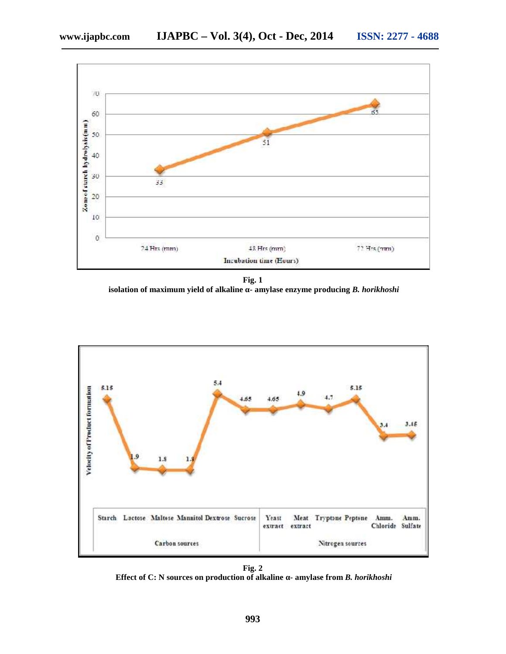

**Fig. 1 isolation of maximum yield of alkaline** - amylase enzyme producing *B. horikhoshi* 



**Fig. 2 Effect of C: N sources on production of alkaline - amylase from** *B. horikhoshi*